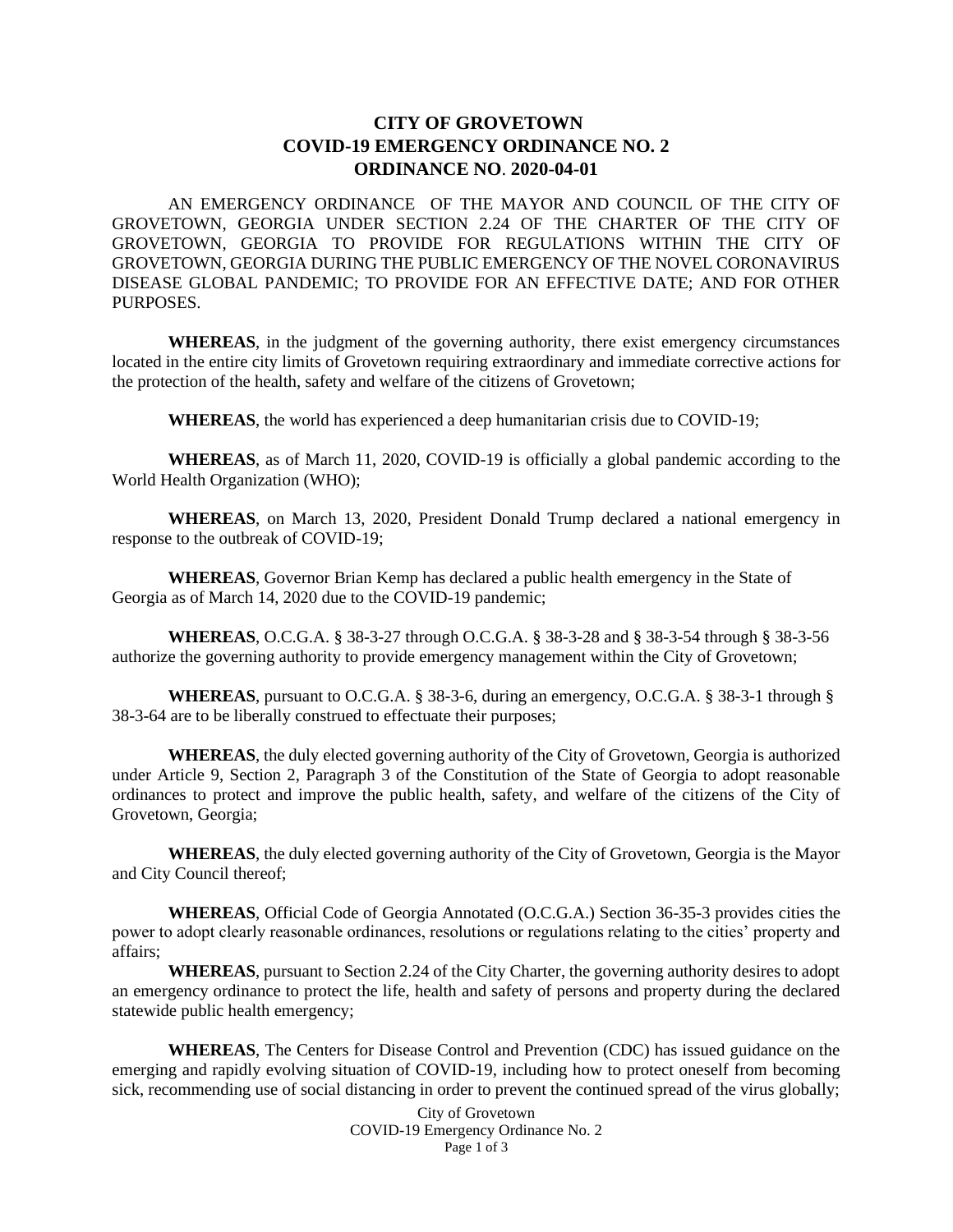## **CITY OF GROVETOWN COVID-19 EMERGENCY ORDINANCE NO. 2 ORDINANCE NO**. **2020-04-01**

AN EMERGENCY ORDINANCE OF THE MAYOR AND COUNCIL OF THE CITY OF GROVETOWN, GEORGIA UNDER SECTION 2.24 OF THE CHARTER OF THE CITY OF GROVETOWN, GEORGIA TO PROVIDE FOR REGULATIONS WITHIN THE CITY OF GROVETOWN, GEORGIA DURING THE PUBLIC EMERGENCY OF THE NOVEL CORONAVIRUS DISEASE GLOBAL PANDEMIC; TO PROVIDE FOR AN EFFECTIVE DATE; AND FOR OTHER PURPOSES.

**WHEREAS**, in the judgment of the governing authority, there exist emergency circumstances located in the entire city limits of Grovetown requiring extraordinary and immediate corrective actions for the protection of the health, safety and welfare of the citizens of Grovetown;

**WHEREAS**, the world has experienced a deep humanitarian crisis due to COVID-19;

**WHEREAS**, as of March 11, 2020, COVID-19 is officially a global pandemic according to the World Health Organization (WHO);

**WHEREAS**, on March 13, 2020, President Donald Trump declared a national emergency in response to the outbreak of COVID-19;

**WHEREAS**, Governor Brian Kemp has declared a public health emergency in the State of Georgia as of March 14, 2020 due to the COVID-19 pandemic;

**WHEREAS**, O.C.G.A. § 38-3-27 through O.C.G.A. § 38-3-28 and § 38-3-54 through § 38-3-56 authorize the governing authority to provide emergency management within the City of Grovetown;

**WHEREAS**, pursuant to O.C.G.A. § 38-3-6, during an emergency, O.C.G.A. § 38-3-1 through § 38-3-64 are to be liberally construed to effectuate their purposes;

**WHEREAS**, the duly elected governing authority of the City of Grovetown, Georgia is authorized under Article 9, Section 2, Paragraph 3 of the Constitution of the State of Georgia to adopt reasonable ordinances to protect and improve the public health, safety, and welfare of the citizens of the City of Grovetown, Georgia;

**WHEREAS**, the duly elected governing authority of the City of Grovetown, Georgia is the Mayor and City Council thereof;

**WHEREAS**, Official Code of Georgia Annotated (O.C.G.A.) Section 36-35-3 provides cities the power to adopt clearly reasonable ordinances, resolutions or regulations relating to the cities' property and affairs;

**WHEREAS**, pursuant to Section 2.24 of the City Charter, the governing authority desires to adopt an emergency ordinance to protect the life, health and safety of persons and property during the declared statewide public health emergency;

**WHEREAS**, The Centers for Disease Control and Prevention (CDC) has issued guidance on the emerging and rapidly evolving situation of COVID-19, including how to protect oneself from becoming sick, recommending use of social distancing in order to prevent the continued spread of the virus globally;

> City of Grovetown COVID-19 Emergency Ordinance No. 2 Page 1 of 3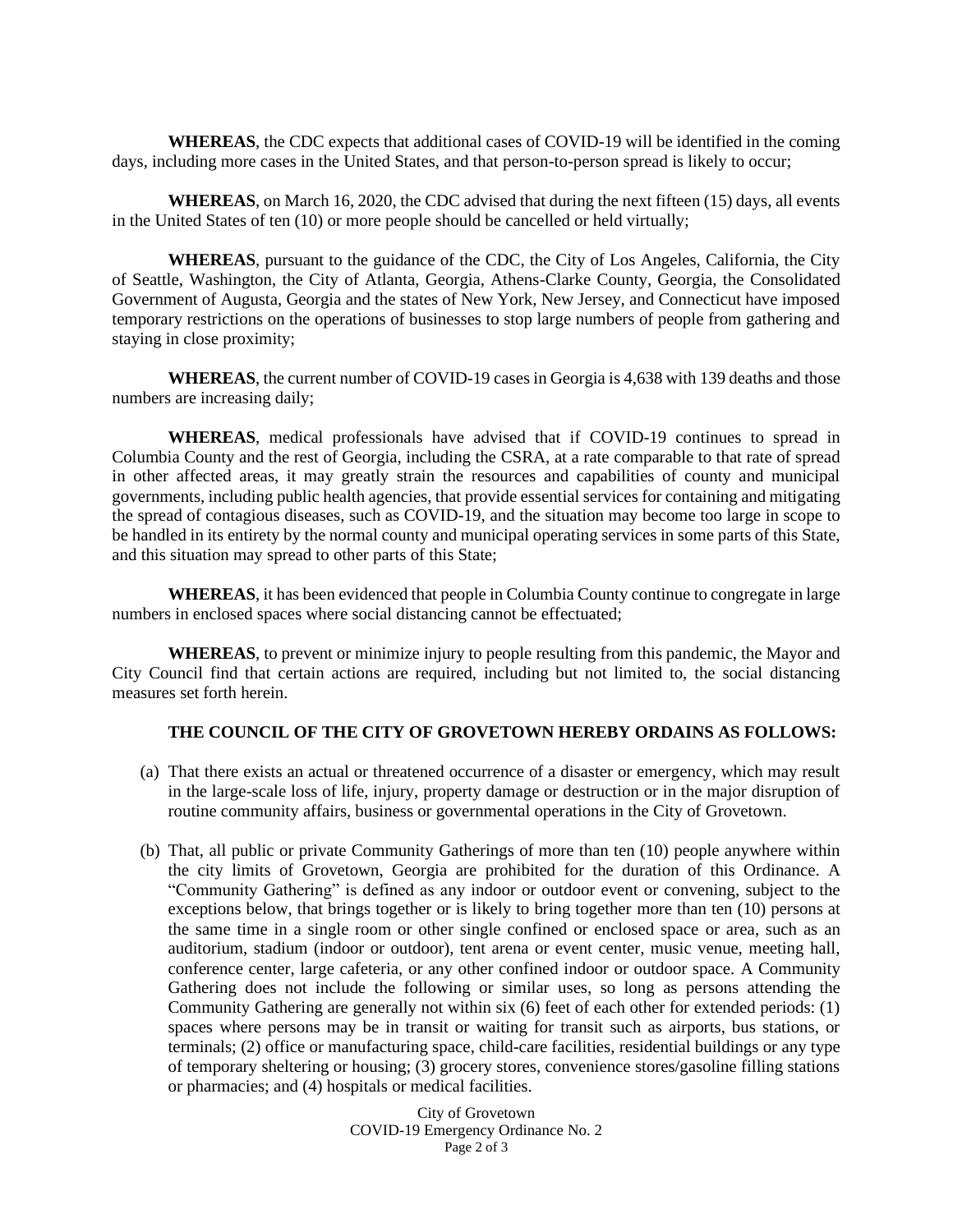**WHEREAS**, the CDC expects that additional cases of COVID-19 will be identified in the coming days, including more cases in the United States, and that person-to-person spread is likely to occur;

**WHEREAS**, on March 16, 2020, the CDC advised that during the next fifteen (15) days, all events in the United States of ten (10) or more people should be cancelled or held virtually;

**WHEREAS**, pursuant to the guidance of the CDC, the City of Los Angeles, California, the City of Seattle, Washington, the City of Atlanta, Georgia, Athens-Clarke County, Georgia, the Consolidated Government of Augusta, Georgia and the states of New York, New Jersey, and Connecticut have imposed temporary restrictions on the operations of businesses to stop large numbers of people from gathering and staying in close proximity;

**WHEREAS**, the current number of COVID-19 cases in Georgia is 4,638 with 139 deaths and those numbers are increasing daily;

**WHEREAS**, medical professionals have advised that if COVID-19 continues to spread in Columbia County and the rest of Georgia, including the CSRA, at a rate comparable to that rate of spread in other affected areas, it may greatly strain the resources and capabilities of county and municipal governments, including public health agencies, that provide essential services for containing and mitigating the spread of contagious diseases, such as COVID-19, and the situation may become too large in scope to be handled in its entirety by the normal county and municipal operating services in some parts of this State, and this situation may spread to other parts of this State;

**WHEREAS**, it has been evidenced that people in Columbia County continue to congregate in large numbers in enclosed spaces where social distancing cannot be effectuated;

**WHEREAS**, to prevent or minimize injury to people resulting from this pandemic, the Mayor and City Council find that certain actions are required, including but not limited to, the social distancing measures set forth herein.

## **THE COUNCIL OF THE CITY OF GROVETOWN HEREBY ORDAINS AS FOLLOWS:**

- (a) That there exists an actual or threatened occurrence of a disaster or emergency, which may result in the large-scale loss of life, injury, property damage or destruction or in the major disruption of routine community affairs, business or governmental operations in the City of Grovetown.
- (b) That, all public or private Community Gatherings of more than ten (10) people anywhere within the city limits of Grovetown, Georgia are prohibited for the duration of this Ordinance. A "Community Gathering" is defined as any indoor or outdoor event or convening, subject to the exceptions below, that brings together or is likely to bring together more than ten (10) persons at the same time in a single room or other single confined or enclosed space or area, such as an auditorium, stadium (indoor or outdoor), tent arena or event center, music venue, meeting hall, conference center, large cafeteria, or any other confined indoor or outdoor space. A Community Gathering does not include the following or similar uses, so long as persons attending the Community Gathering are generally not within six (6) feet of each other for extended periods: (1) spaces where persons may be in transit or waiting for transit such as airports, bus stations, or terminals; (2) office or manufacturing space, child-care facilities, residential buildings or any type of temporary sheltering or housing; (3) grocery stores, convenience stores/gasoline filling stations or pharmacies; and (4) hospitals or medical facilities.

City of Grovetown COVID-19 Emergency Ordinance No. 2 Page 2 of 3